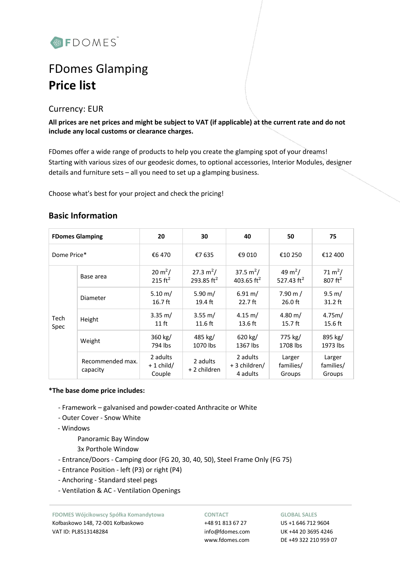

# FDomes Glamping **Price list**

# Currency: EUR

**All prices are net prices and might be subject to VAT (if applicable) at the current rate and do not include any local customs or clearance charges.**

FDomes offer a wide range of products to help you create the glamping spot of your dreams! Starting with various sizes of our geodesic domes, to optional accessories, Interior Modules, designer details and furniture sets – all you need to set up a glamping business.

Choose what's best for your project and check the pricing!

|  | <b>Basic Information</b> |
|--|--------------------------|
|  |                          |

|              | <b>FDomes Glamping</b>       | 20                                | 30                          | 40                                    | 50                                   | 75                                        |
|--------------|------------------------------|-----------------------------------|-----------------------------|---------------------------------------|--------------------------------------|-------------------------------------------|
| Dome Price*  |                              | €6470                             | €7 635                      | €9 010                                | €10 250                              | €12 400                                   |
|              | Base area                    | $20 \text{ m}^2$ /<br>215 $ft^2$  | 27.3 $m^2/$<br>293.85 $ft2$ | 37.5 $m^2/$<br>403.65 ft <sup>2</sup> | 49 m <sup>2</sup> /<br>527.43 $ft^2$ | 71 m <sup>2</sup> /<br>$807 \text{ ft}^2$ |
|              | Diameter<br>Height           | $5.10 \, \text{m}$ /<br>$16.7$ ft | 5.90 m/<br>19.4 ft          | $6.91 \text{ m}$ /<br>$22.7$ ft       | $7.90 \text{ m}$ /<br>$26.0$ ft      | $9.5 \text{ m}$ /<br>$31.2$ ft            |
| Tech<br>Spec |                              | $3.35 \text{ m}$ /<br>$11$ ft     | 3.55 m/<br>$11.6$ ft        | $4.15 \text{ m}$ /<br>$13.6$ ft       | $4.80 \; \mathrm{m}$ /<br>$15.7$ ft  | 4.75m/<br>15.6 ft                         |
|              | Weight                       | 360 kg/<br>794 lbs                | 485 kg/<br>1070 lbs         | 620 kg/<br>1367 lbs                   | 775 kg/<br>1708 lbs                  | 895 kg/<br>1973 lbs                       |
|              | Recommended max.<br>capacity | 2 adults<br>$+1$ child/<br>Couple | 2 adults<br>+ 2 children    | 2 adults<br>+ 3 children/<br>4 adults | Larger<br>families/<br>Groups        | Larger<br>families/<br>Groups             |

### **\*The base dome price includes:**

- Framework galvanised and powder-coated Anthracite or White
- Outer Cover Snow White
- Windows

Panoramic Bay Window

- 3x Porthole Window
- Entrance/Doors Camping door (FG 20, 30, 40, 50), Steel Frame Only (FG 75)
- Entrance Position left (P3) or right (P4)
- Anchoring Standard steel pegs
- Ventilation & AC Ventilation Openings

**FDOMES Wójcikowscy Spółka Komandytowa** Kołbaskowo 148, 72-001 Kołbaskowo VAT ID: PL8513148284

#### **CONTACT**

+48 91 813 67 27 info@fdomes.com www.fdomes.com

#### **GLOBAL SALES**

US +1 646 712 9604 UK +44 20 3695 4246 DE +49 322 210 959 07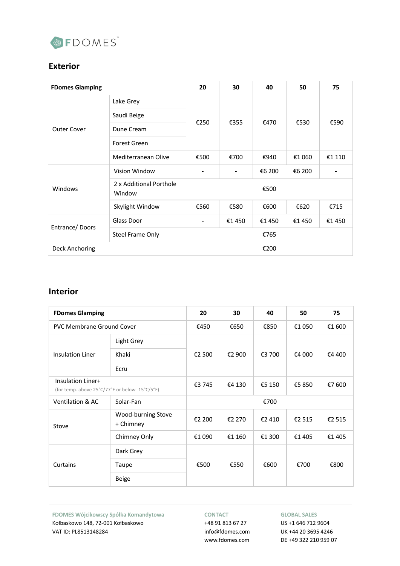

# **Exterior**

| <b>FDomes Glamping</b> |                                   | 20   | 30                           | 40     | 50     | 75     |
|------------------------|-----------------------------------|------|------------------------------|--------|--------|--------|
| <b>Outer Cover</b>     | Lake Grey                         | €250 | €355                         | €470   | €530   | €590   |
|                        | Saudi Beige                       |      |                              |        |        |        |
|                        | Dune Cream                        |      |                              |        |        |        |
|                        | <b>Forest Green</b>               |      |                              |        |        |        |
|                        | Mediterranean Olive               | €500 | €700                         | €940   | €1 060 | €1 110 |
| Windows                | Vision Window                     |      | $\qquad \qquad \blacksquare$ | €6 200 | €6 200 |        |
|                        | 2 x Additional Porthole<br>Window | €500 |                              |        |        |        |
|                        | Skylight Window                   | €560 | €580                         | €600   | €620   | €715   |
| Entrance/Doors         | Glass Door                        |      | €1450                        | €1450  | €1 450 | €1 450 |
|                        | <b>Steel Frame Only</b>           | €765 |                              |        |        |        |
| Deck Anchoring         |                                   | €200 |                              |        |        |        |

### **Interior**

| <b>FDomes Glamping</b>                                              |                                 | 20     | 30     | 40     | 50     | 75     |
|---------------------------------------------------------------------|---------------------------------|--------|--------|--------|--------|--------|
| <b>PVC Membrane Ground Cover</b>                                    |                                 | €450   | €650   | €850   | €1 050 | €1 600 |
| Insulation Liner                                                    | Light Grey                      | €2 500 | €2 900 | €3 700 | €4 000 | €4 400 |
|                                                                     | Khaki                           |        |        |        |        |        |
|                                                                     | Ecru                            |        |        |        |        |        |
| Insulation Liner+<br>(for temp. above 25°C/77°F or below -15°C/5°F) |                                 | €3 745 | €4 130 | €5 150 | €5 850 | €7 600 |
| <b>Ventilation &amp; AC</b>                                         | Solar-Fan                       | €700   |        |        |        |        |
| Stove                                                               | Wood-burning Stove<br>+ Chimney | €2 200 | €2 270 | €2 410 | €2 515 | €2 515 |
|                                                                     | Chimney Only                    | €1 090 | €1 160 | €1 300 | €1 405 | €1405  |
|                                                                     | Dark Grey                       |        |        | €600   | €700   | €800   |
| Curtains                                                            | Taupe                           | €500   | €550   |        |        |        |
|                                                                     | <b>Beige</b>                    |        |        |        |        |        |

**FDOMES Wójcikowscy Spółka Komandytowa** Kołbaskowo 148, 72-001 Kołbaskowo VAT ID: PL8513148284

#### **CONTACT**

+48 91 813 67 27 info@fdomes.com www.fdomes.com

#### **GLOBAL SALES**

US +1 646 712 9604 UK +44 20 3695 4246 DE +49 322 210 959 07